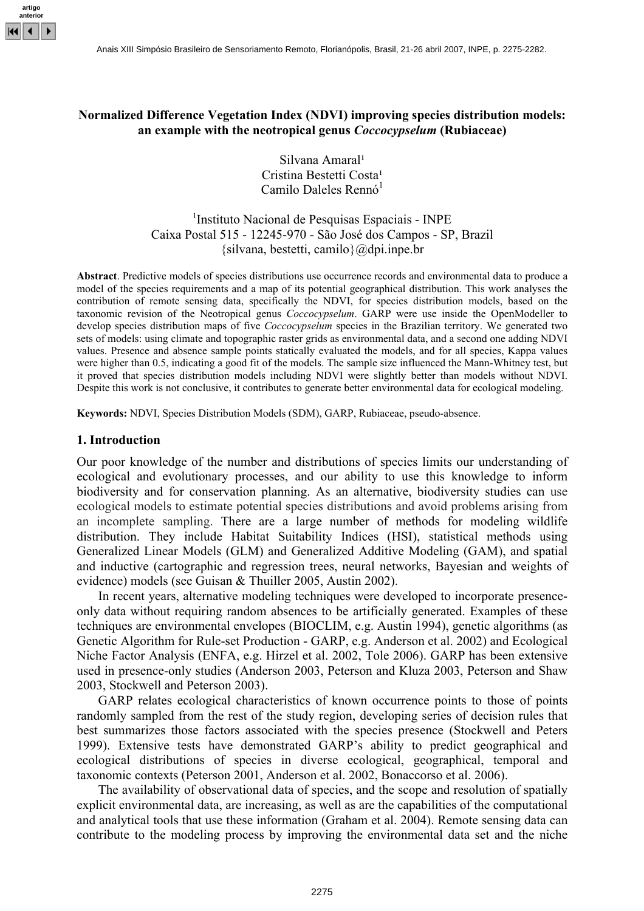

# **Normalized Difference Vegetation Index (NDVI) improving species distribution models: an example with the neotropical genus** *Coccocypselum* **(Rubiaceae)**

Silvana Amaral<sup>1</sup> Cristina Bestetti Costa<sup>1</sup> Camilo Daleles Rennó<sup>1</sup>

1 Instituto Nacional de Pesquisas Espaciais - INPE Caixa Postal 515 - 12245-970 - São José dos Campos - SP, Brazil  $\{silvana, bestetti, camilo\}$  ( $\partial_d$ dpi.inpe.br

**Abstract**. Predictive models of species distributions use occurrence records and environmental data to produce a model of the species requirements and a map of its potential geographical distribution. This work analyses the contribution of remote sensing data, specifically the NDVI, for species distribution models, based on the taxonomic revision of the Neotropical genus *Coccocypselum*. GARP were use inside the OpenModeller to develop species distribution maps of five *Coccocypselum* species in the Brazilian territory. We generated two sets of models: using climate and topographic raster grids as environmental data, and a second one adding NDVI values. Presence and absence sample points statically evaluated the models, and for all species, Kappa values were higher than 0.5, indicating a good fit of the models. The sample size influenced the Mann-Whitney test, but it proved that species distribution models including NDVI were slightly better than models without NDVI. Despite this work is not conclusive, it contributes to generate better environmental data for ecological modeling.

**Keywords:** NDVI, Species Distribution Models (SDM), GARP, Rubiaceae, pseudo-absence.

#### **1. Introduction**

Our poor knowledge of the number and distributions of species limits our understanding of ecological and evolutionary processes, and our ability to use this knowledge to inform biodiversity and for conservation planning. As an alternative, biodiversity studies can use ecological models to estimate potential species distributions and avoid problems arising from an incomplete sampling. There are a large number of methods for modeling wildlife distribution. They include Habitat Suitability Indices (HSI), statistical methods using Generalized Linear Models (GLM) and Generalized Additive Modeling (GAM), and spatial and inductive (cartographic and regression trees, neural networks, Bayesian and weights of evidence) models (see Guisan & Thuiller 2005, Austin 2002).

In recent years, alternative modeling techniques were developed to incorporate presenceonly data without requiring random absences to be artificially generated. Examples of these techniques are environmental envelopes (BIOCLIM, e.g. Austin 1994), genetic algorithms (as Genetic Algorithm for Rule-set Production - GARP, e.g. Anderson et al. 2002) and Ecological Niche Factor Analysis (ENFA, e.g. Hirzel et al. 2002, Tole 2006). GARP has been extensive used in presence-only studies (Anderson 2003, Peterson and Kluza 2003, Peterson and Shaw 2003, Stockwell and Peterson 2003).

GARP relates ecological characteristics of known occurrence points to those of points randomly sampled from the rest of the study region, developing series of decision rules that best summarizes those factors associated with the species presence (Stockwell and Peters 1999). Extensive tests have demonstrated GARP's ability to predict geographical and ecological distributions of species in diverse ecological, geographical, temporal and taxonomic contexts (Peterson 2001, Anderson et al. 2002, Bonaccorso et al. 2006).

The availability of observational data of species, and the scope and resolution of spatially explicit environmental data, are increasing, as well as are the capabilities of the computational and analytical tools that use these information (Graham et al. 2004). Remote sensing data can contribute to the modeling process by improving the environmental data set and the niche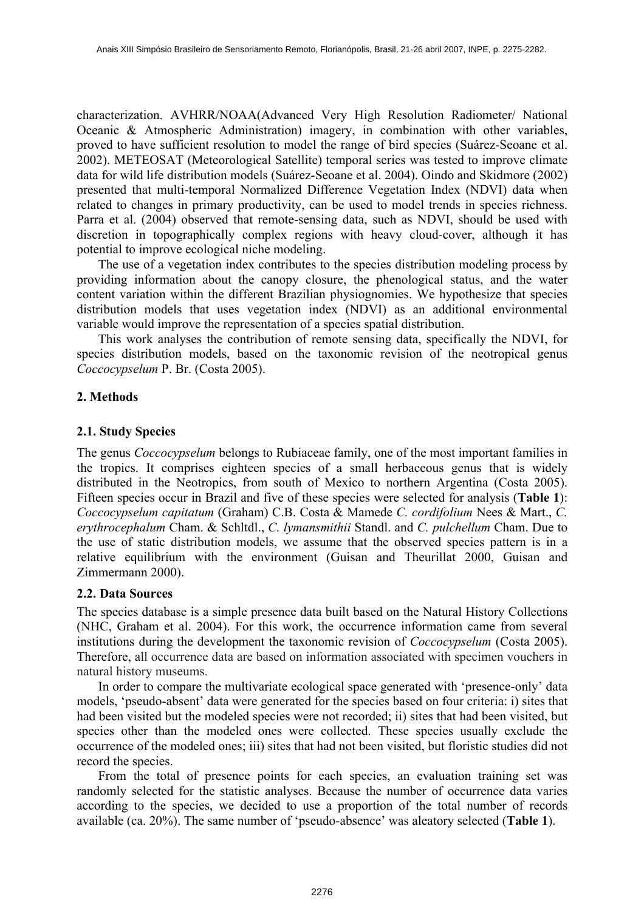characterization. AVHRR/NOAA(Advanced Very High Resolution Radiometer/ National Oceanic & Atmospheric Administration) imagery, in combination with other variables, proved to have sufficient resolution to model the range of bird species (Suárez-Seoane et al. 2002). METEOSAT (Meteorological Satellite) temporal series was tested to improve climate data for wild life distribution models (Suárez-Seoane et al. 2004). Oindo and Skidmore (2002) presented that multi-temporal Normalized Difference Vegetation Index (NDVI) data when related to changes in primary productivity, can be used to model trends in species richness. Parra et al. (2004) observed that remote-sensing data, such as NDVI, should be used with discretion in topographically complex regions with heavy cloud-cover, although it has potential to improve ecological niche modeling.

The use of a vegetation index contributes to the species distribution modeling process by providing information about the canopy closure, the phenological status, and the water content variation within the different Brazilian physiognomies. We hypothesize that species distribution models that uses vegetation index (NDVI) as an additional environmental variable would improve the representation of a species spatial distribution.

This work analyses the contribution of remote sensing data, specifically the NDVI, for species distribution models, based on the taxonomic revision of the neotropical genus *Coccocypselum* P. Br. (Costa 2005).

# **2. Methods**

## **2.1. Study Species**

The genus *Coccocypselum* belongs to Rubiaceae family, one of the most important families in the tropics. It comprises eighteen species of a small herbaceous genus that is widely distributed in the Neotropics, from south of Mexico to northern Argentina (Costa 2005). Fifteen species occur in Brazil and five of these species were selected for analysis (**Table 1**): *Coccocypselum capitatum* (Graham) C.B. Costa & Mamede *C. cordifolium* Nees & Mart., *C. erythrocephalum* Cham. & Schltdl., *C. lymansmithii* Standl. and *C. pulchellum* Cham. Due to the use of static distribution models, we assume that the observed species pattern is in a relative equilibrium with the environment (Guisan and Theurillat 2000, Guisan and Zimmermann 2000).

## **2.2. Data Sources**

The species database is a simple presence data built based on the Natural History Collections (NHC, Graham et al. 2004). For this work, the occurrence information came from several institutions during the development the taxonomic revision of *Coccocypselum* (Costa 2005). Therefore, all occurrence data are based on information associated with specimen vouchers in natural history museums.

In order to compare the multivariate ecological space generated with 'presence-only' data models, 'pseudo-absent' data were generated for the species based on four criteria: i) sites that had been visited but the modeled species were not recorded; ii) sites that had been visited, but species other than the modeled ones were collected. These species usually exclude the occurrence of the modeled ones; iii) sites that had not been visited, but floristic studies did not record the species.

From the total of presence points for each species, an evaluation training set was randomly selected for the statistic analyses. Because the number of occurrence data varies according to the species, we decided to use a proportion of the total number of records available (ca. 20%). The same number of 'pseudo-absence' was aleatory selected (**Table 1**).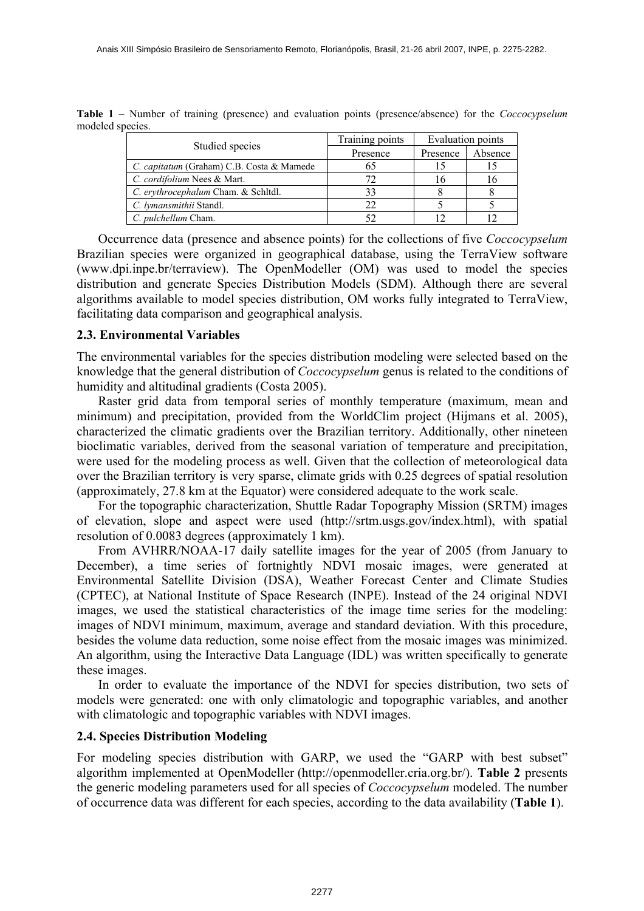|                                           | Training points | <b>Evaluation points</b> |         |
|-------------------------------------------|-----------------|--------------------------|---------|
| Studied species                           | Presence        | Presence                 | Absence |
| C. capitatum (Graham) C.B. Costa & Mamede |                 |                          |         |
| C. cordifolium Nees & Mart.               |                 | 16                       | 10      |
| C. erythrocephalum Cham. & Schltdl.       |                 |                          |         |
| C. lymansmithii Standl.                   |                 |                          |         |
| C. pulchellum Cham.                       |                 |                          |         |

**Table 1** – Number of training (presence) and evaluation points (presence/absence) for the *Coccocypselum* modeled species.

Occurrence data (presence and absence points) for the collections of five *Coccocypselum* Brazilian species were organized in geographical database, using the TerraView software (www.dpi.inpe.br/terraview). The OpenModeller (OM) was used to model the species distribution and generate Species Distribution Models (SDM). Although there are several algorithms available to model species distribution, OM works fully integrated to TerraView, facilitating data comparison and geographical analysis.

#### **2.3. Environmental Variables**

The environmental variables for the species distribution modeling were selected based on the knowledge that the general distribution of *Coccocypselum* genus is related to the conditions of humidity and altitudinal gradients (Costa 2005).

Raster grid data from temporal series of monthly temperature (maximum, mean and minimum) and precipitation, provided from the WorldClim project (Hijmans et al. 2005), characterized the climatic gradients over the Brazilian territory. Additionally, other nineteen bioclimatic variables, derived from the seasonal variation of temperature and precipitation, were used for the modeling process as well. Given that the collection of meteorological data over the Brazilian territory is very sparse, climate grids with 0.25 degrees of spatial resolution (approximately, 27.8 km at the Equator) were considered adequate to the work scale.

For the topographic characterization, Shuttle Radar Topography Mission (SRTM) images of elevation, slope and aspect were used (http://srtm.usgs.gov/index.html), with spatial resolution of 0.0083 degrees (approximately 1 km).

From AVHRR/NOAA-17 daily satellite images for the year of 2005 (from January to December), a time series of fortnightly NDVI mosaic images, were generated at Environmental Satellite Division (DSA), Weather Forecast Center and Climate Studies (CPTEC), at National Institute of Space Research (INPE). Instead of the 24 original NDVI images, we used the statistical characteristics of the image time series for the modeling: images of NDVI minimum, maximum, average and standard deviation. With this procedure, besides the volume data reduction, some noise effect from the mosaic images was minimized. An algorithm, using the Interactive Data Language (IDL) was written specifically to generate these images.

In order to evaluate the importance of the NDVI for species distribution, two sets of models were generated: one with only climatologic and topographic variables, and another with climatologic and topographic variables with NDVI images.

#### **2.4. Species Distribution Modeling**

For modeling species distribution with GARP, we used the "GARP with best subset" algorithm implemented at OpenModeller (http://openmodeller.cria.org.br/). **Table 2** presents the generic modeling parameters used for all species of *Coccocypselum* modeled. The number of occurrence data was different for each species, according to the data availability (**Table 1**).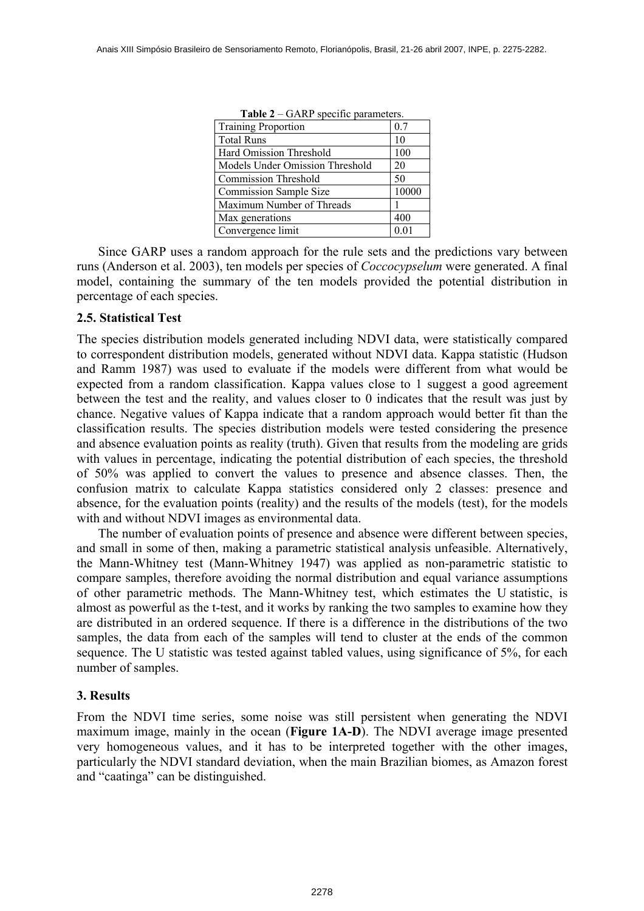| <b>Training Proportion</b>      | 0.7             |  |
|---------------------------------|-----------------|--|
| <b>Total Runs</b>               | 10              |  |
| Hard Omission Threshold         | 100             |  |
| Models Under Omission Threshold | 20              |  |
| <b>Commission Threshold</b>     | 50              |  |
| <b>Commission Sample Size</b>   | 10000           |  |
| Maximum Number of Threads       |                 |  |
| Max generations                 | 400             |  |
| Convergence limit               | 0 <sub>01</sub> |  |

**Table 2** – GARP specific parameters.

Since GARP uses a random approach for the rule sets and the predictions vary between runs (Anderson et al. 2003), ten models per species of *Coccocypselum* were generated. A final model, containing the summary of the ten models provided the potential distribution in percentage of each species.

## **2.5. Statistical Test**

The species distribution models generated including NDVI data, were statistically compared to correspondent distribution models, generated without NDVI data. Kappa statistic (Hudson and Ramm 1987) was used to evaluate if the models were different from what would be expected from a random classification. Kappa values close to 1 suggest a good agreement between the test and the reality, and values closer to 0 indicates that the result was just by chance. Negative values of Kappa indicate that a random approach would better fit than the classification results. The species distribution models were tested considering the presence and absence evaluation points as reality (truth). Given that results from the modeling are grids with values in percentage, indicating the potential distribution of each species, the threshold of 50% was applied to convert the values to presence and absence classes. Then, the confusion matrix to calculate Kappa statistics considered only 2 classes: presence and absence, for the evaluation points (reality) and the results of the models (test), for the models with and without NDVI images as environmental data.

The number of evaluation points of presence and absence were different between species, and small in some of then, making a parametric statistical analysis unfeasible. Alternatively, the Mann-Whitney test (Mann-Whitney 1947) was applied as non-parametric statistic to compare samples, therefore avoiding the normal distribution and equal variance assumptions of other parametric methods. The Mann-Whitney test, which estimates the U statistic, is almost as powerful as the t-test, and it works by ranking the two samples to examine how they are distributed in an ordered sequence. If there is a difference in the distributions of the two samples, the data from each of the samples will tend to cluster at the ends of the common sequence. The U statistic was tested against tabled values, using significance of 5%, for each number of samples.

## **3. Results**

From the NDVI time series, some noise was still persistent when generating the NDVI maximum image, mainly in the ocean (**Figure 1A-D**). The NDVI average image presented very homogeneous values, and it has to be interpreted together with the other images, particularly the NDVI standard deviation, when the main Brazilian biomes, as Amazon forest and "caatinga" can be distinguished.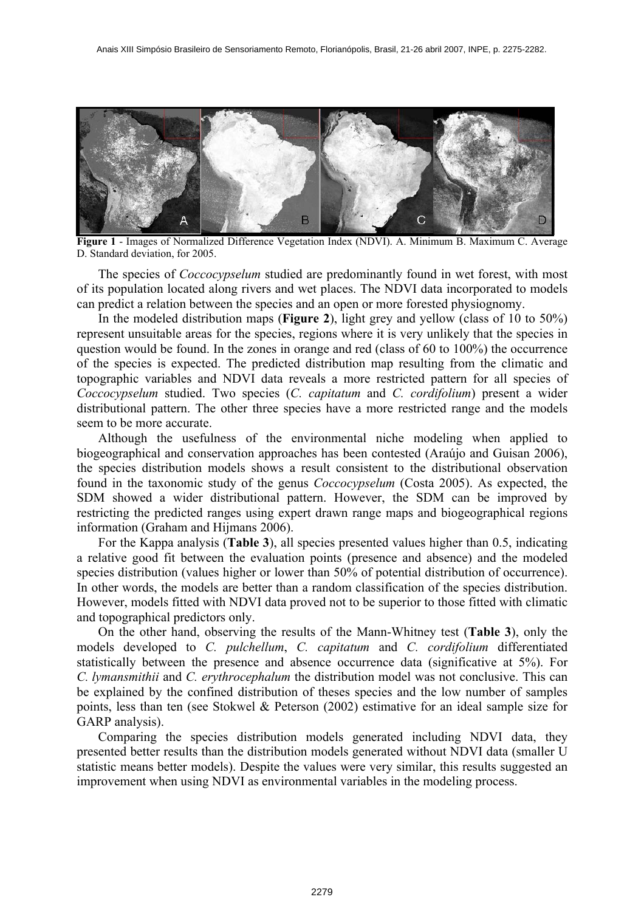

**Figure 1** - Images of Normalized Difference Vegetation Index (NDVI). A. Minimum B. Maximum C. Average D. Standard deviation, for 2005.

The species of *Coccocypselum* studied are predominantly found in wet forest, with most of its population located along rivers and wet places. The NDVI data incorporated to models can predict a relation between the species and an open or more forested physiognomy.

In the modeled distribution maps (**Figure 2**), light grey and yellow (class of 10 to 50%) represent unsuitable areas for the species, regions where it is very unlikely that the species in question would be found. In the zones in orange and red (class of 60 to 100%) the occurrence of the species is expected. The predicted distribution map resulting from the climatic and topographic variables and NDVI data reveals a more restricted pattern for all species of *Coccocypselum* studied. Two species (*C. capitatum* and *C. cordifolium*) present a wider distributional pattern. The other three species have a more restricted range and the models seem to be more accurate.

Although the usefulness of the environmental niche modeling when applied to biogeographical and conservation approaches has been contested (Araújo and Guisan 2006), the species distribution models shows a result consistent to the distributional observation found in the taxonomic study of the genus *Coccocypselum* (Costa 2005). As expected, the SDM showed a wider distributional pattern. However, the SDM can be improved by restricting the predicted ranges using expert drawn range maps and biogeographical regions information (Graham and Hijmans 2006).

For the Kappa analysis (**Table 3**), all species presented values higher than 0.5, indicating a relative good fit between the evaluation points (presence and absence) and the modeled species distribution (values higher or lower than 50% of potential distribution of occurrence). In other words, the models are better than a random classification of the species distribution. However, models fitted with NDVI data proved not to be superior to those fitted with climatic and topographical predictors only.

On the other hand, observing the results of the Mann-Whitney test (**Table 3**), only the models developed to *C. pulchellum*, *C. capitatum* and *C. cordifolium* differentiated statistically between the presence and absence occurrence data (significative at 5%). For *C. lymansmithii* and *C. erythrocephalum* the distribution model was not conclusive. This can be explained by the confined distribution of theses species and the low number of samples points, less than ten (see Stokwel & Peterson (2002) estimative for an ideal sample size for GARP analysis).

Comparing the species distribution models generated including NDVI data, they presented better results than the distribution models generated without NDVI data (smaller U statistic means better models). Despite the values were very similar, this results suggested an improvement when using NDVI as environmental variables in the modeling process.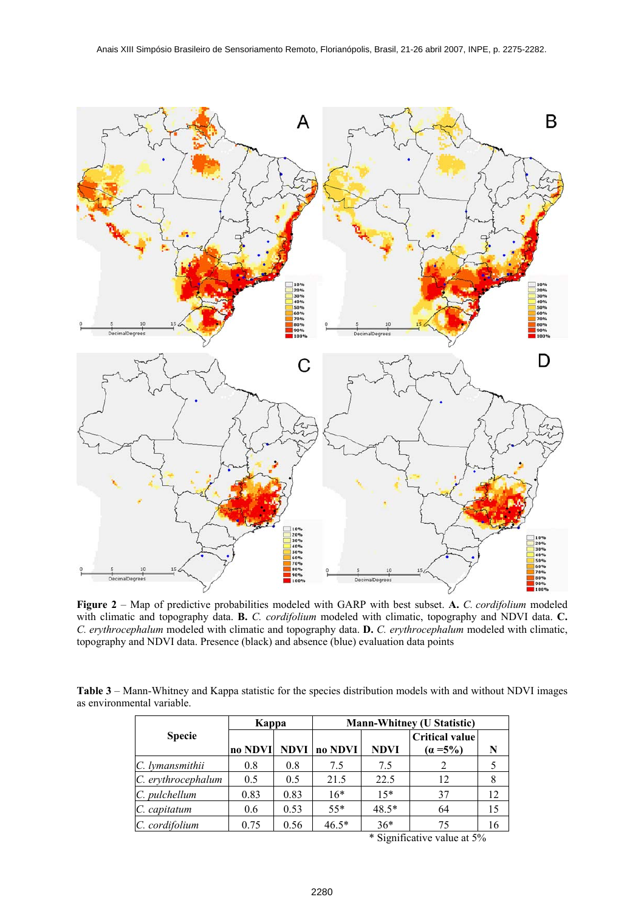

**Figure 2** – Map of predictive probabilities modeled with GARP with best subset. **A.** *C. cordifolium* modeled with climatic and topography data. **B.** *C. cordifolium* modeled with climatic, topography and NDVI data. **C.** *C. erythrocephalum* modeled with climatic and topography data. **D.** *C. erythrocephalum* modeled with climatic, topography and NDVI data. Presence (black) and absence (blue) evaluation data points

**Table 3** – Mann-Whitney and Kappa statistic for the species distribution models with and without NDVI images as environmental variable.

|                    | Kappa   |             | <b>Mann-Whitney (U Statistic)</b> |             |                                      |    |
|--------------------|---------|-------------|-----------------------------------|-------------|--------------------------------------|----|
| <b>Specie</b>      | no NDVI | <b>NDVI</b> | no NDVI                           | <b>NDVI</b> | <b>Critical value</b><br>$(a = 5\%)$ | N  |
| C. lymansmithii    | 0.8     | 0.8         | 7.5                               | 7.5         |                                      |    |
| C. erythrocephalum | 0.5     | 0.5         | 21.5                              | 22.5        | 12                                   | 8  |
| C. pulchellum      | 0.83    | 0.83        | $16*$                             | $15*$       | 37                                   | 12 |
| C. capitatum       | 0.6     | 0.53        | $55*$                             | $48.5*$     | 64                                   | 15 |
| C. cordifolium     | 0.75    | 0.56        | $46.5*$                           | $36*$       | 75                                   | 16 |

\* Significative value at 5%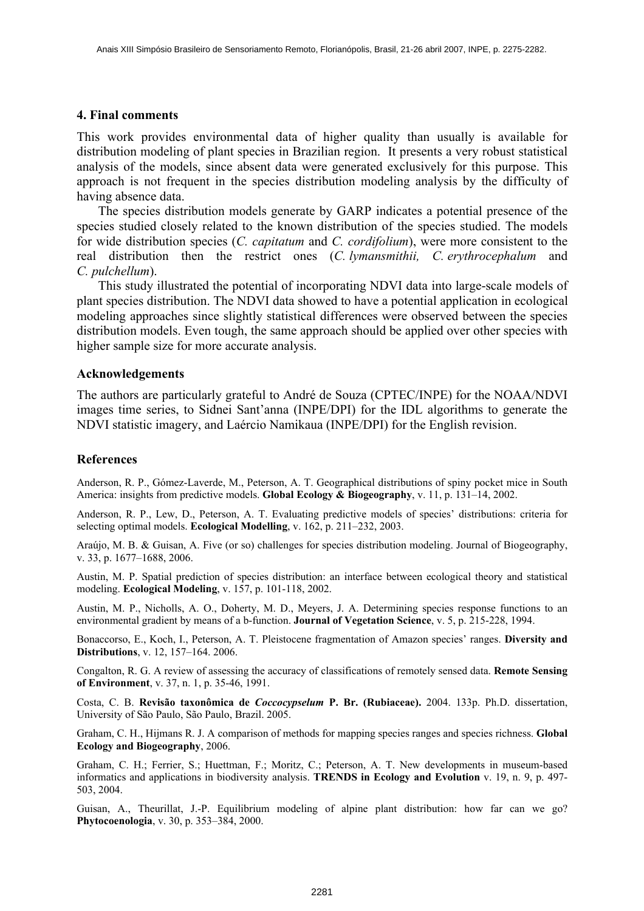### **4. Final comments**

This work provides environmental data of higher quality than usually is available for distribution modeling of plant species in Brazilian region. It presents a very robust statistical analysis of the models, since absent data were generated exclusively for this purpose. This approach is not frequent in the species distribution modeling analysis by the difficulty of having absence data.

The species distribution models generate by GARP indicates a potential presence of the species studied closely related to the known distribution of the species studied. The models for wide distribution species (*C. capitatum* and *C. cordifolium*), were more consistent to the real distribution then the restrict ones (*C. lymansmithii, C. erythrocephalum* and *C. pulchellum*).

This study illustrated the potential of incorporating NDVI data into large-scale models of plant species distribution. The NDVI data showed to have a potential application in ecological modeling approaches since slightly statistical differences were observed between the species distribution models. Even tough, the same approach should be applied over other species with higher sample size for more accurate analysis.

### **Acknowledgements**

The authors are particularly grateful to André de Souza (CPTEC/INPE) for the NOAA/NDVI images time series, to Sidnei Sant'anna (INPE/DPI) for the IDL algorithms to generate the NDVI statistic imagery, and Laércio Namikaua (INPE/DPI) for the English revision.

### **References**

Anderson, R. P., Gómez-Laverde, M., Peterson, A. T. Geographical distributions of spiny pocket mice in South America: insights from predictive models. **Global Ecology & Biogeography**, v. 11, p. 131–14, 2002.

Anderson, R. P., Lew, D., Peterson, A. T. Evaluating predictive models of species' distributions: criteria for selecting optimal models. **Ecological Modelling**, v. 162, p. 211–232, 2003.

Araújo, M. B. & Guisan, A. Five (or so) challenges for species distribution modeling. Journal of Biogeography, v. 33, p. 1677–1688, 2006.

Austin, M. P. Spatial prediction of species distribution: an interface between ecological theory and statistical modeling. **Ecological Modeling**, v. 157, p. 101-118, 2002.

Austin, M. P., Nicholls, A. O., Doherty, M. D., Meyers, J. A. Determining species response functions to an environmental gradient by means of a b-function. **Journal of Vegetation Science**, v. 5, p. 215-228, 1994.

Bonaccorso, E., Koch, I., Peterson, A. T. Pleistocene fragmentation of Amazon species' ranges. **Diversity and Distributions**, v. 12, 157–164. 2006.

Congalton, R. G. A review of assessing the accuracy of classifications of remotely sensed data. **Remote Sensing of Environment**, v. 37, n. 1, p. 35-46, 1991.

Costa, C. B. **Revisão taxonômica de** *Coccocypselum* **P. Br. (Rubiaceae).** 2004. 133p. Ph.D. dissertation, University of São Paulo, São Paulo, Brazil. 2005.

Graham, C. H., Hijmans R. J. A comparison of methods for mapping species ranges and species richness. **Global Ecology and Biogeography**, 2006.

Graham, C. H.; Ferrier, S.; Huettman, F.; Moritz, C.; Peterson, A. T. New developments in museum-based informatics and applications in biodiversity analysis. **TRENDS in Ecology and Evolution** v. 19, n. 9, p. 497- 503, 2004.

Guisan, A., Theurillat, J.-P. Equilibrium modeling of alpine plant distribution: how far can we go? **Phytocoenologia**, v. 30, p. 353–384, 2000.